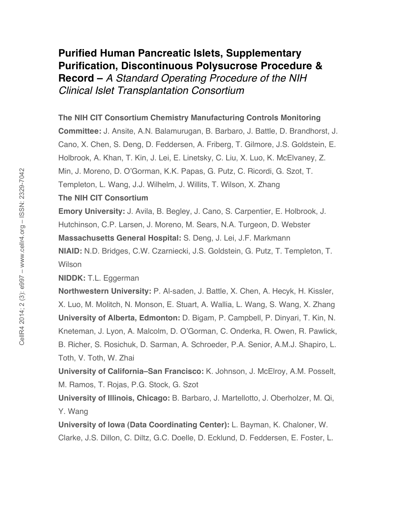# **Purified Human Pancreatic Islets, Supplementary Purification, Discontinuous Polysucrose Procedure &**

**Record –** *A Standard Operating Procedure of the NIH Clinical Islet Transplantation Consortium*

### **The NIH CIT Consortium Chemistry Manufacturing Controls Monitoring**

**Committee:** J. Ansite, A.N. Balamurugan, B. Barbaro, J. Battle, D. Brandhorst, J. Cano, X. Chen, S. Deng, D. Feddersen, A. Friberg, T. Gilmore, J.S. Goldstein, E. Holbrook, A. Khan, T. Kin, J. Lei, E. Linetsky, C. Liu, X. Luo, K. McElvaney, Z. Min, J. Moreno, D. O'Gorman, K.K. Papas, G. Putz, C. Ricordi, G. Szot, T. Templeton, L. Wang, J.J. Wilhelm, J. Willits, T. Wilson, X. Zhang

### **The NIH CIT Consortium**

**Emory University:** J. Avila, B. Begley, J. Cano, S. Carpentier, E. Holbrook, J. Hutchinson, C.P. Larsen, J. Moreno, M. Sears, N.A. Turgeon, D. Webster **Massachusetts General Hospital:** S. Deng, J. Lei, J.F. Markmann **NIAID:** N.D. Bridges, C.W. Czarniecki, J.S. Goldstein, G. Putz, T. Templeton, T. **Wilson** 

**NIDDK:** T.L. Eggerman

**Northwestern University:** P. Al-saden, J. Battle, X. Chen, A. Hecyk, H. Kissler, X. Luo, M. Molitch, N. Monson, E. Stuart, A. Wallia, L. Wang, S. Wang, X. Zhang **University of Alberta, Edmonton:** D. Bigam, P. Campbell, P. Dinyari, T. Kin, N. Kneteman, J. Lyon, A. Malcolm, D. O'Gorman, C. Onderka, R. Owen, R. Pawlick, B. Richer, S. Rosichuk, D. Sarman, A. Schroeder, P.A. Senior, A.M.J. Shapiro, L. Toth, V. Toth, W. Zhai

**University of California–San Francisco:** K. Johnson, J. McElroy, A.M. Posselt, M. Ramos, T. Rojas, P.G. Stock, G. Szot

**University of Illinois, Chicago:** B. Barbaro, J. Martellotto, J. Oberholzer, M. Qi, Y. Wang

**University of Iowa (Data Coordinating Center):** L. Bayman, K. Chaloner, W. Clarke, J.S. Dillon, C. Diltz, G.C. Doelle, D. Ecklund, D. Feddersen, E. Foster, L.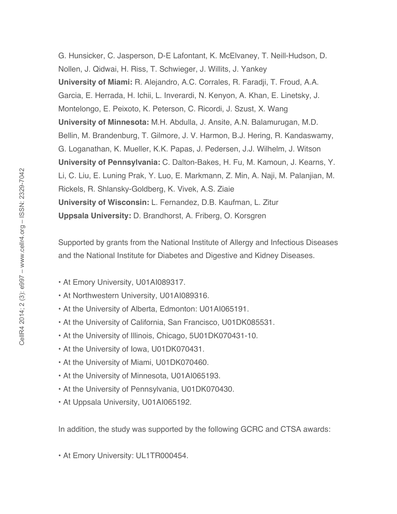G. Hunsicker, C. Jasperson, D-E Lafontant, K. McElvaney, T. Neill-Hudson, D. Nollen, J. Qidwai, H. Riss, T. Schwieger, J. Willits, J. Yankey **University of Miami:** R. Alejandro, A.C. Corrales, R. Faradji, T. Froud, A.A. Garcia, E. Herrada, H. Ichii, L. Inverardi, N. Kenyon, A. Khan, E. Linetsky, J. Montelongo, E. Peixoto, K. Peterson, C. Ricordi, J. Szust, X. Wang **University of Minnesota:** M.H. Abdulla, J. Ansite, A.N. Balamurugan, M.D. Bellin, M. Brandenburg, T. Gilmore, J. V. Harmon, B.J. Hering, R. Kandaswamy, G. Loganathan, K. Mueller, K.K. Papas, J. Pedersen, J.J. Wilhelm, J. Witson **University of Pennsylvania:** C. Dalton-Bakes, H. Fu, M. Kamoun, J. Kearns, Y. Li, C. Liu, E. Luning Prak, Y. Luo, E. Markmann, Z. Min, A. Naji, M. Palanjian, M. Rickels, R. Shlansky-Goldberg, K. Vivek, A.S. Ziaie **University of Wisconsin:** L. Fernandez, D.B. Kaufman, L. Zitur **Uppsala University:** D. Brandhorst, A. Friberg, O. Korsgren

Supported by grants from the National Institute of Allergy and Infectious Diseases and the National Institute for Diabetes and Digestive and Kidney Diseases.

- At Emory University, U01AI089317.
- At Northwestern University, U01AI089316.
- At the University of Alberta, Edmonton: U01AI065191.
- At the University of California, San Francisco, U01DK085531.
- At the University of Illinois, Chicago, 5U01DK070431-10.
- At the University of Iowa, U01DK070431.
- At the University of Miami, U01DK070460.
- At the University of Minnesota, U01AI065193.
- At the University of Pennsylvania, U01DK070430.
- At Uppsala University, U01AI065192.

In addition, the study was supported by the following GCRC and CTSA awards:

• At Emory University: UL1TR000454.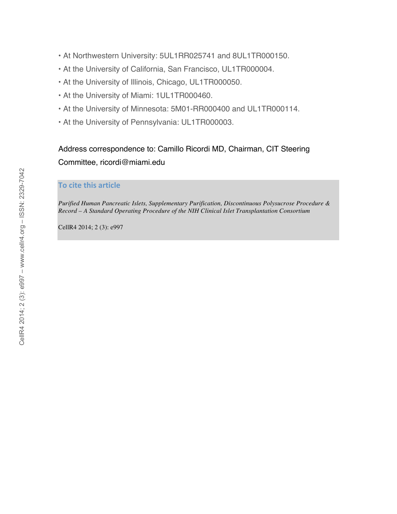- At Northwestern University: 5UL1RR025741 and 8UL1TR000150.
- At the University of California, San Francisco, UL1TR000004.
- At the University of Illinois, Chicago, UL1TR000050.
- At the University of Miami: 1UL1TR000460.
- At the University of Minnesota: 5M01-RR000400 and UL1TR000114.
- At the University of Pennsylvania: UL1TR000003.

## Address correspondence to: Camillo Ricordi MD, Chairman, CIT Steering Committee, ricordi@miami.edu

#### **To
cite
this
article**

*Purified Human Pancreatic Islets, Supplementary Purification, Discontinuous Polysucrose Procedure & Record – A Standard Operating Procedure of the NIH Clinical Islet Transplantation Consortium*

CellR4 2014; 2 (3): e997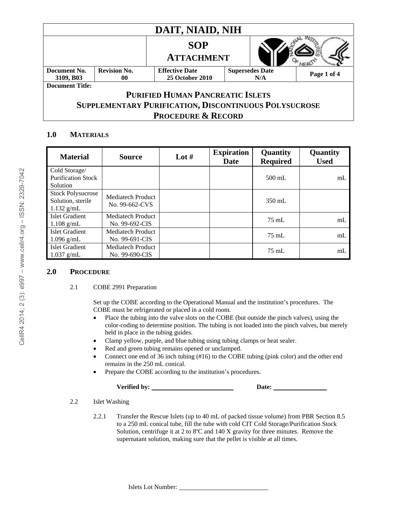| DAIT, NIAID, NIH                                      |                           |                                                 |                               |             |  |
|-------------------------------------------------------|---------------------------|-------------------------------------------------|-------------------------------|-------------|--|
|                                                       |                           | <b>SOP</b><br><b>ATTACHMENT</b>                 |                               |             |  |
| Document No.<br>3109, B03                             | <b>Revision No.</b><br>00 | <b>Effective Date</b><br><b>25 October 2010</b> | <b>Supersedes Date</b><br>N/A | Page 1 of 4 |  |
| <b>Document Title:</b>                                |                           |                                                 |                               |             |  |
| <b>PURIFIED HUMAN PANCREATIC ISLETS</b>               |                           |                                                 |                               |             |  |
| SUPPLEMENTARY PURIFICATION, DISCONTINUOUS POLYSUCROSE |                           |                                                 |                               |             |  |
| <b>PROCEDURE &amp; RECORD</b>                         |                           |                                                 |                               |             |  |

### **1.0 MATERIALS**

| <b>Material</b>                                               | <b>Source</b>                              | Lot $#$ | <b>Expiration</b><br>Date | Quantity<br><b>Required</b> | Quantity<br><b>Used</b> |
|---------------------------------------------------------------|--------------------------------------------|---------|---------------------------|-----------------------------|-------------------------|
| Cold Storage/<br><b>Purification Stock</b><br>Solution        |                                            |         |                           | $500$ mL                    | mL                      |
| <b>Stock Polysucrose</b><br>Solution, sterile<br>$1.132$ g/mL | Mediatech Product<br>No. 99-662-CVS        |         |                           | $350 \text{ mL}$            |                         |
| Islet Gradient<br>$1.108$ g/mL                                | <b>Mediatech Product</b><br>No. 99-692-CIS |         |                           | $75 \text{ mL}$             | m <sub>L</sub>          |
| <b>Islet Gradient</b><br>$1.096$ g/mL                         | <b>Mediatech Product</b><br>No. 99-691-CIS |         |                           | $75 \text{ mL}$             | m <sub>L</sub>          |
| Islet Gradient<br>$1.037$ g/mL                                | Mediatech Product<br>No. 99-690-CIS        |         |                           | $75 \text{ mL}$             | mL                      |

#### **2.0 PROCEDURE**

#### 2.1 COBE 2991 Preparation

Set up the COBE according to the Operational Manual and the institution's procedures. The COBE must be refrigerated or placed in a cold room.

- Place the tubing into the valve slots on the COBE (but outside the pinch valves), using the color-coding to determine position. The tubing is not loaded into the pinch valves, but merely held in place in the tubing guides.
- Clamp yellow, purple, and blue tubing using tubing clamps or heat sealer.
- Red and green tubing remains opened or unclamped.
- Connect one end of 36 inch tubing (#16) to the COBE tubing (pink color) and the other end remains in the 250 mL conical.
- Prepare the COBE according to the institution's procedures.

| <b>Verified by:</b> | <b>Date:</b> |
|---------------------|--------------|
|                     |              |
|                     |              |

2.2 Islet Washing

2.2.1 Transfer the Rescue Islets (up to 40 mL of packed tissue volume) from PBR Section 8.5 to a 250 mL conical tube, fill the tube with cold CIT Cold Storage/Purification Stock Solution, centrifuge it at 2 to 8ºC and 140 X gravity for three minutes. Remove the supernatant solution, making sure that the pellet is visible at all times.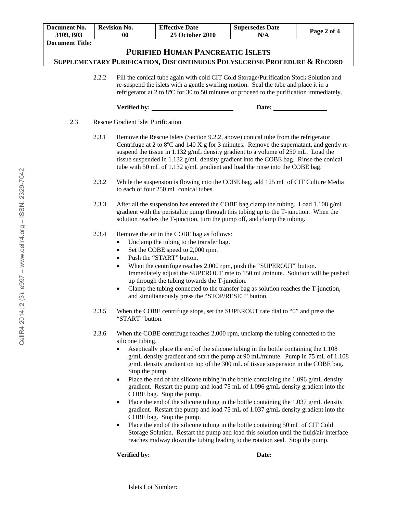| Document No.<br>3109, B03               | <b>Revision No.</b><br>00                                                                                                                                                                                                                                                                                                                                                                                                                                                                                                                                                                                                                                                                                                                                                                                                                                                                                                                                                                                                                                                                                             |                                                                                                                                                                                                                                                                                                                                                                                                                                              | <b>Effective Date</b><br><b>25 October 2010</b>                                                                                                                                                                                                                                                                                                                                                                                                                                                           | <b>Supersedes Date</b><br>N/A | Page 2 of 4 |  |  |
|-----------------------------------------|-----------------------------------------------------------------------------------------------------------------------------------------------------------------------------------------------------------------------------------------------------------------------------------------------------------------------------------------------------------------------------------------------------------------------------------------------------------------------------------------------------------------------------------------------------------------------------------------------------------------------------------------------------------------------------------------------------------------------------------------------------------------------------------------------------------------------------------------------------------------------------------------------------------------------------------------------------------------------------------------------------------------------------------------------------------------------------------------------------------------------|----------------------------------------------------------------------------------------------------------------------------------------------------------------------------------------------------------------------------------------------------------------------------------------------------------------------------------------------------------------------------------------------------------------------------------------------|-----------------------------------------------------------------------------------------------------------------------------------------------------------------------------------------------------------------------------------------------------------------------------------------------------------------------------------------------------------------------------------------------------------------------------------------------------------------------------------------------------------|-------------------------------|-------------|--|--|
| <b>Document Title:</b>                  |                                                                                                                                                                                                                                                                                                                                                                                                                                                                                                                                                                                                                                                                                                                                                                                                                                                                                                                                                                                                                                                                                                                       |                                                                                                                                                                                                                                                                                                                                                                                                                                              |                                                                                                                                                                                                                                                                                                                                                                                                                                                                                                           |                               |             |  |  |
| <b>PURIFIED HUMAN PANCREATIC ISLETS</b> |                                                                                                                                                                                                                                                                                                                                                                                                                                                                                                                                                                                                                                                                                                                                                                                                                                                                                                                                                                                                                                                                                                                       |                                                                                                                                                                                                                                                                                                                                                                                                                                              |                                                                                                                                                                                                                                                                                                                                                                                                                                                                                                           |                               |             |  |  |
|                                         | SUPPLEMENTARY PURIFICATION, DISCONTINUOUS POLYSUCROSE PROCEDURE & RECORD                                                                                                                                                                                                                                                                                                                                                                                                                                                                                                                                                                                                                                                                                                                                                                                                                                                                                                                                                                                                                                              |                                                                                                                                                                                                                                                                                                                                                                                                                                              |                                                                                                                                                                                                                                                                                                                                                                                                                                                                                                           |                               |             |  |  |
|                                         | 2.2.2                                                                                                                                                                                                                                                                                                                                                                                                                                                                                                                                                                                                                                                                                                                                                                                                                                                                                                                                                                                                                                                                                                                 | Fill the conical tube again with cold CIT Cold Storage/Purification Stock Solution and<br>re-suspend the islets with a gentle swirling motion. Seal the tube and place it in a<br>refrigerator at 2 to 8°C for 30 to 50 minutes or proceed to the purification immediately.                                                                                                                                                                  |                                                                                                                                                                                                                                                                                                                                                                                                                                                                                                           |                               |             |  |  |
|                                         |                                                                                                                                                                                                                                                                                                                                                                                                                                                                                                                                                                                                                                                                                                                                                                                                                                                                                                                                                                                                                                                                                                                       |                                                                                                                                                                                                                                                                                                                                                                                                                                              |                                                                                                                                                                                                                                                                                                                                                                                                                                                                                                           | Date:                         |             |  |  |
| 2.3                                     |                                                                                                                                                                                                                                                                                                                                                                                                                                                                                                                                                                                                                                                                                                                                                                                                                                                                                                                                                                                                                                                                                                                       | <b>Rescue Gradient Islet Purification</b>                                                                                                                                                                                                                                                                                                                                                                                                    |                                                                                                                                                                                                                                                                                                                                                                                                                                                                                                           |                               |             |  |  |
|                                         | 2.3.1                                                                                                                                                                                                                                                                                                                                                                                                                                                                                                                                                                                                                                                                                                                                                                                                                                                                                                                                                                                                                                                                                                                 | Remove the Rescue Islets (Section 9.2.2, above) conical tube from the refrigerator.<br>Centrifuge at 2 to 8°C and 140 X g for 3 minutes. Remove the supernatant, and gently re-<br>suspend the tissue in 1.132 g/mL density gradient to a volume of 250 mL. Load the<br>tissue suspended in 1.132 g/mL density gradient into the COBE bag. Rinse the conical<br>tube with 50 mL of 1.132 g/mL gradient and load the rinse into the COBE bag. |                                                                                                                                                                                                                                                                                                                                                                                                                                                                                                           |                               |             |  |  |
|                                         | 2.3.2                                                                                                                                                                                                                                                                                                                                                                                                                                                                                                                                                                                                                                                                                                                                                                                                                                                                                                                                                                                                                                                                                                                 |                                                                                                                                                                                                                                                                                                                                                                                                                                              | While the suspension is flowing into the COBE bag, add 125 mL of CIT Culture Media<br>to each of four 250 mL conical tubes.                                                                                                                                                                                                                                                                                                                                                                               |                               |             |  |  |
|                                         | 2.3.3                                                                                                                                                                                                                                                                                                                                                                                                                                                                                                                                                                                                                                                                                                                                                                                                                                                                                                                                                                                                                                                                                                                 | After all the suspension has entered the COBE bag clamp the tubing. Load 1.108 $g/mL$<br>gradient with the peristaltic pump through this tubing up to the T-junction. When the<br>solution reaches the T-junction, turn the pump off, and clamp the tubing.                                                                                                                                                                                  |                                                                                                                                                                                                                                                                                                                                                                                                                                                                                                           |                               |             |  |  |
|                                         | 2.3.4                                                                                                                                                                                                                                                                                                                                                                                                                                                                                                                                                                                                                                                                                                                                                                                                                                                                                                                                                                                                                                                                                                                 | $\bullet$<br>$\bullet$<br>$\bullet$<br>$\bullet$<br>$\bullet$                                                                                                                                                                                                                                                                                                                                                                                | Remove the air in the COBE bag as follows:<br>Unclamp the tubing to the transfer bag.<br>Set the COBE speed to 2,000 rpm.<br>Push the "START" button.<br>When the centrifuge reaches 2,000 rpm, push the "SUPEROUT" button.<br>Immediately adjust the SUPEROUT rate to 150 mL/minute. Solution will be pushed<br>up through the tubing towards the T-junction.<br>Clamp the tubing connected to the transfer bag as solution reaches the T-junction,<br>and simultaneously press the "STOP/RESET" button. |                               |             |  |  |
| 2.3.5                                   |                                                                                                                                                                                                                                                                                                                                                                                                                                                                                                                                                                                                                                                                                                                                                                                                                                                                                                                                                                                                                                                                                                                       | When the COBE centrifuge stops, set the SUPEROUT rate dial to "0" and press the<br>"START" button.                                                                                                                                                                                                                                                                                                                                           |                                                                                                                                                                                                                                                                                                                                                                                                                                                                                                           |                               |             |  |  |
|                                         | 2.3.6<br>When the COBE centrifuge reaches 2,000 rpm, unclamp the tubing connected to the<br>silicone tubing.<br>Aseptically place the end of the silicone tubing in the bottle containing the 1.108<br>g/mL density gradient and start the pump at 90 mL/minute. Pump in 75 mL of 1.108<br>g/mL density gradient on top of the 300 mL of tissue suspension in the COBE bag.<br>Stop the pump.<br>Place the end of the silicone tubing in the bottle containing the $1.096$ g/mL density<br>$\bullet$<br>gradient. Restart the pump and load 75 mL of 1.096 g/mL density gradient into the<br>COBE bag. Stop the pump.<br>Place the end of the silicone tubing in the bottle containing the 1.037 g/mL density<br>$\bullet$<br>gradient. Restart the pump and load 75 mL of 1.037 g/mL density gradient into the<br>COBE bag. Stop the pump.<br>Place the end of the silicone tubing in the bottle containing 50 mL of CIT Cold<br>$\bullet$<br>Storage Solution. Restart the pump and load this solution until the fluid/air interface<br>reaches midway down the tubing leading to the rotation seal. Stop the pump. |                                                                                                                                                                                                                                                                                                                                                                                                                                              |                                                                                                                                                                                                                                                                                                                                                                                                                                                                                                           |                               |             |  |  |
|                                         |                                                                                                                                                                                                                                                                                                                                                                                                                                                                                                                                                                                                                                                                                                                                                                                                                                                                                                                                                                                                                                                                                                                       | Verified by:                                                                                                                                                                                                                                                                                                                                                                                                                                 |                                                                                                                                                                                                                                                                                                                                                                                                                                                                                                           | Date:                         |             |  |  |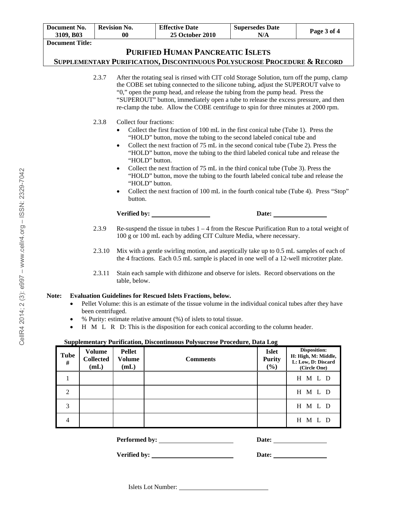|                                                                                                                                                                                                                                                                                                                                                                                                                                                     | Document No.                        | <b>Revision No.</b>                       |                                                                                                                                                                                                                                                                                                                                                                                                                                                                                                                                                                                                                                                                                               | <b>Effective Date</b>  | <b>Supersedes Date</b>               | Page 3 of 4                                               |  |  |
|-----------------------------------------------------------------------------------------------------------------------------------------------------------------------------------------------------------------------------------------------------------------------------------------------------------------------------------------------------------------------------------------------------------------------------------------------------|-------------------------------------|-------------------------------------------|-----------------------------------------------------------------------------------------------------------------------------------------------------------------------------------------------------------------------------------------------------------------------------------------------------------------------------------------------------------------------------------------------------------------------------------------------------------------------------------------------------------------------------------------------------------------------------------------------------------------------------------------------------------------------------------------------|------------------------|--------------------------------------|-----------------------------------------------------------|--|--|
|                                                                                                                                                                                                                                                                                                                                                                                                                                                     | 3109, B03<br><b>Document Title:</b> | 0 <sub>0</sub>                            |                                                                                                                                                                                                                                                                                                                                                                                                                                                                                                                                                                                                                                                                                               | <b>25 October 2010</b> | N/A                                  |                                                           |  |  |
|                                                                                                                                                                                                                                                                                                                                                                                                                                                     |                                     |                                           |                                                                                                                                                                                                                                                                                                                                                                                                                                                                                                                                                                                                                                                                                               |                        |                                      |                                                           |  |  |
| <b>PURIFIED HUMAN PANCREATIC ISLETS</b><br>SUPPLEMENTARY PURIFICATION, DISCONTINUOUS POLYSUCROSE PROCEDURE & RECORD                                                                                                                                                                                                                                                                                                                                 |                                     |                                           |                                                                                                                                                                                                                                                                                                                                                                                                                                                                                                                                                                                                                                                                                               |                        |                                      |                                                           |  |  |
|                                                                                                                                                                                                                                                                                                                                                                                                                                                     |                                     |                                           |                                                                                                                                                                                                                                                                                                                                                                                                                                                                                                                                                                                                                                                                                               |                        |                                      |                                                           |  |  |
|                                                                                                                                                                                                                                                                                                                                                                                                                                                     |                                     | 2.3.7                                     | After the rotating seal is rinsed with CIT cold Storage Solution, turn off the pump, clamp<br>the COBE set tubing connected to the silicone tubing, adjust the SUPEROUT valve to<br>"0," open the pump head, and release the tubing from the pump head. Press the<br>"SUPEROUT" button, immediately open a tube to release the excess pressure, and then<br>re-clamp the tube. Allow the COBE centrifuge to spin for three minutes at 2000 rpm.                                                                                                                                                                                                                                               |                        |                                      |                                                           |  |  |
|                                                                                                                                                                                                                                                                                                                                                                                                                                                     |                                     | 2.3.8                                     | Collect four fractions:<br>Collect the first fraction of 100 mL in the first conical tube (Tube 1). Press the<br>"HOLD" button, move the tubing to the second labeled conical tube and<br>Collect the next fraction of 75 mL in the second conical tube (Tube 2). Press the<br>$\bullet$<br>"HOLD" button, move the tubing to the third labeled conical tube and release the<br>"HOLD" button.<br>Collect the next fraction of 75 mL in the third conical tube (Tube 3). Press the<br>"HOLD" button, move the tubing to the fourth labeled conical tube and release the<br>"HOLD" button.<br>Collect the next fraction of 100 mL in the fourth conical tube (Tube 4). Press "Stop"<br>button. |                        |                                      |                                                           |  |  |
|                                                                                                                                                                                                                                                                                                                                                                                                                                                     |                                     |                                           | Verified by:                                                                                                                                                                                                                                                                                                                                                                                                                                                                                                                                                                                                                                                                                  |                        | Date: $\qquad \qquad$                |                                                           |  |  |
|                                                                                                                                                                                                                                                                                                                                                                                                                                                     |                                     | 2.3.9                                     | Re-suspend the tissue in tubes $1 - 4$ from the Rescue Purification Run to a total weight of<br>100 g or 100 mL each by adding CIT Culture Media, where necessary.                                                                                                                                                                                                                                                                                                                                                                                                                                                                                                                            |                        |                                      |                                                           |  |  |
|                                                                                                                                                                                                                                                                                                                                                                                                                                                     |                                     | 2.3.10                                    | Mix with a gentle swirling motion, and aseptically take up to 0.5 mL samples of each of<br>the 4 fractions. Each 0.5 mL sample is placed in one well of a 12-well microtiter plate.                                                                                                                                                                                                                                                                                                                                                                                                                                                                                                           |                        |                                      |                                                           |  |  |
|                                                                                                                                                                                                                                                                                                                                                                                                                                                     |                                     | 2.3.11                                    | Stain each sample with dithizone and observe for islets. Record observations on the<br>table, below.                                                                                                                                                                                                                                                                                                                                                                                                                                                                                                                                                                                          |                        |                                      |                                                           |  |  |
| Note:<br><b>Evaluation Guidelines for Rescued Islets Fractions, below.</b><br>Pellet Volume: this is an estimate of the tissue volume in the individual conical tubes after they have<br>been centrifuged.<br>% Purity: estimate relative amount (%) of islets to total tissue.<br>H M L R D: This is the disposition for each conical according to the column header.<br>Supplementary Purification, Discontinuous Polysucrose Procedure, Data Log |                                     |                                           |                                                                                                                                                                                                                                                                                                                                                                                                                                                                                                                                                                                                                                                                                               |                        |                                      |                                                           |  |  |
|                                                                                                                                                                                                                                                                                                                                                                                                                                                     |                                     |                                           |                                                                                                                                                                                                                                                                                                                                                                                                                                                                                                                                                                                                                                                                                               |                        |                                      | <b>Disposition:</b>                                       |  |  |
|                                                                                                                                                                                                                                                                                                                                                                                                                                                     | <b>Tube</b><br>#                    | <b>Volume</b><br><b>Collected</b><br>(mL) | <b>Pellet</b><br><b>Volume</b><br>(mL)                                                                                                                                                                                                                                                                                                                                                                                                                                                                                                                                                                                                                                                        | <b>Comments</b>        | <b>Islet</b><br><b>Purity</b><br>(%) | H: High, M: Middle,<br>L: Low, D: Discard<br>(Circle One) |  |  |
|                                                                                                                                                                                                                                                                                                                                                                                                                                                     | 1                                   |                                           |                                                                                                                                                                                                                                                                                                                                                                                                                                                                                                                                                                                                                                                                                               |                        |                                      | H M L D                                                   |  |  |
|                                                                                                                                                                                                                                                                                                                                                                                                                                                     | 2                                   |                                           |                                                                                                                                                                                                                                                                                                                                                                                                                                                                                                                                                                                                                                                                                               |                        |                                      | H M L D                                                   |  |  |
|                                                                                                                                                                                                                                                                                                                                                                                                                                                     | $\mathfrak{Z}$                      |                                           |                                                                                                                                                                                                                                                                                                                                                                                                                                                                                                                                                                                                                                                                                               |                        |                                      | H M L D                                                   |  |  |

4 H M L D

**Performed by: Date:** 

**Verified by:** <u>Date:</u> Date: <u>Date:</u> Date: <u>Date:</u>